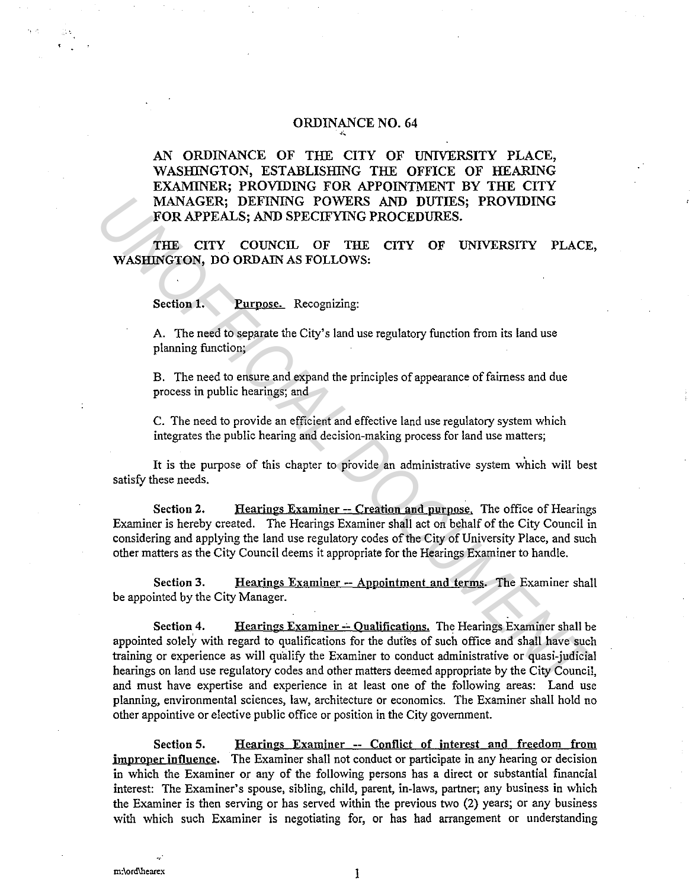## ORDINANCE NO. 64 *.. i.,*

AN ORDINANCE OF THE CITY OF UNIVERSITY PLACE, \VASHINGTON, ESTABLISHING THE OFFICE OF HEARING EXAMINER; PROVIDING FOR APPOINTMENT BY THE CITY MANAGER; DEFINING POWERS AND DUTIES; PROVIDING FOR APPEALS; AND SPECIFYING PROCEDURES.

THE CITY COUNCIL OF THE CITY OF UNIVERSITY PLACE, WASHINGTON, DO ORDAIN AS FOLLOWS:

Section 1. **Purpose. Recognizing:** 

A. The need to separate the City's land use regulatory function from its land use planning function;

B. The need to ensure and expand the principles of appearance of fairness and due process in public hearings; and

C. The need to provide an efficient and effective land use regulatory system which integrates the public hearing and decision-making process for land use matters;

It is the purpose of this chapter to provide an administrative system which will best satisfy these needs.

Section 2. Hearings Examiner -- Creation and purpose. The office of Hearings Examiner is hereby created. The Hearings Examiner shall act on behalf of the City Council in considering and applying the land use regulatory codes of the City of University Place, and such other matters as the City Council deems it appropriate for the Hearings Examiner to handle.

Section 3. Hearings Examiner -- Appointment and terms. The Examiner shall be appointed by the City Manager.

Section 4. Hearings Examiner -- Qualifications. The Hearings Examiner shall be appointed solely with regard to qualifications for the dutres of such office and shall have such training or experience as will qualify the Examiner to conduct administrative or quasi-judicial hearings on land use regulatory codes and other matters deemed appropriate by the City Council, and must have expertise and experience in at least one of the following areas: Land use planning, environmental sciences, law, architecture or economics. The Examiner shall hold no other appointive or elective public office or position in the City government. MANAGER; DEFINING POWERS AND DUTIES; PROVIDING<br> **FOR APPEALS; AND SPECIFYING PROCEDURES.**<br> **THE CITY** OF UNIVERSITY PLACE<br>
WASHINGTON, DO ORDAIN AS FOLLOWS:<br>
Section 1. Purpose. Recognizing:<br>
A. The need to separate the Ci

Section 5. Hearings Examiner -- Conflict of interest and freedom from improper influence. The Examiner shall not conduct or participate in any hearing or decision in which the Examiner or any of the following persons has a direct or substantial financial interest: The Examiner's spouse, sibling, child, parent, in-laws, partner; any business in which the Examiner is then serving or has served within the previous two (2) years; or any business with which such Examiner is negotiating for, or has had arrangement or understanding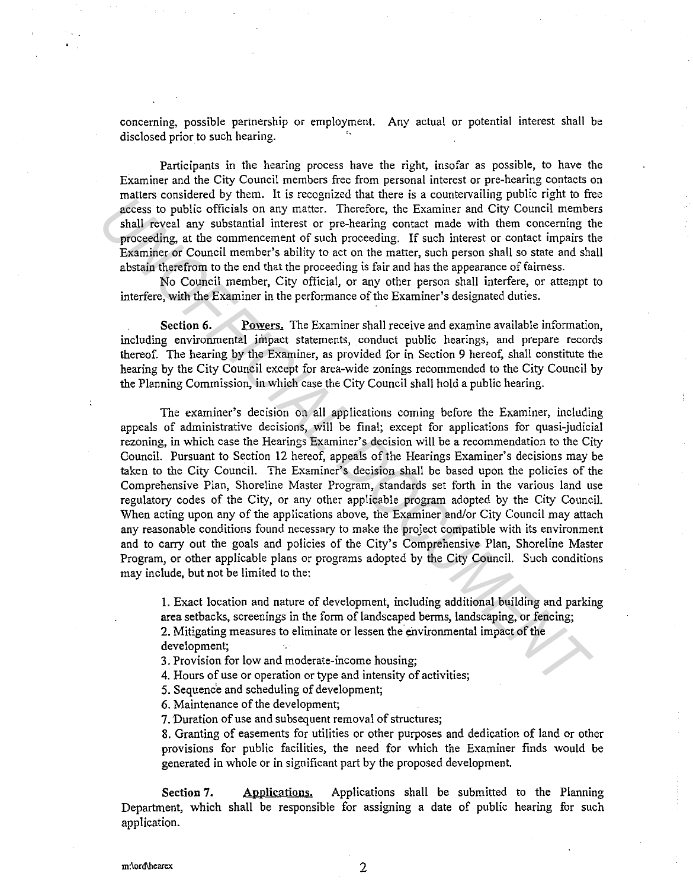concerning, possible partnership or employment. Any actual or potential interest shall be disclosed prior to such hearing.

Participants in the hearing process have the right, insofar as possible, to have the Examiner and the City Council members free from personal interest or pre-hearing contacts on matters considered by them. It is recognized that there is a countervailing public right to free access to public officials on any matter. Therefore, the Examiner and City Council members shall reveal any substantial interest or pre-hearing contact made with them concerning the proceeding, at the commencement of such proceeding. If such interest or contact impairs the Examiner or Council member's ability to act on the matter, such person shall so state and shall abstain therefrom to the end that the proceeding is fair and has the appearance of fairness.

No Council member, City official, or any other person shall interfere, or attempt to interfere, with the Examiner in the performance of the Examiner's designated duties.

Section 6. Powers. The Examiner shall receive and examine available information, including environmental impact statements, conduct public hearings, and prepare records thereof. The hearing by the Examiner, as provided for in Section 9 hereof, shall constitute the hearing by the City Council except for area-wide zonings recommended to the City Council by the Planning Commission, in which case the City Council shall hold a public hearing.

The examiner's decision on all applications coming before the Examiner, including appeals of administrative decisions, will be final; except for applications for quasi-judicial rezoning, in which case the Hearings Examiner's decision will be a recommendation to the City Council. Pursuant to Section 12 hereof, appeals of the Hearings Examiner's decisions may be taken to the City Council. The Examiner's decision shall be based upon the policies of the Comprehensive Plan, Shoreline Master Program, standards set forth in the various land use regulatory codes of the City, or any other applicable program adopted by the City Council. When acting upon any of the applications above, the Examiner and/or City Council may attach any reasonable conditions found necessary to make the project compatible with its environment and to carry out the goals and policies of the City's Comprehensive Plan, Shoreline Master Program, or other applicable plans or programs adopted by the City Council. Such conditions may include, but not be limited to the: nates: consulted or the is cocogno-true in the strong method in the strong of the strong of the state in the state is a commenterment of state proceeding. If such interests or contentrated interests or pre-hearing constat

!. Exact location and nature of development, including additional building and parking area setbacks, screenings in the form of landscaped berms, landscaping, or fencing; 2. Mitigating measures to eliminate or lessen the environmental impact of the

development;

3. Provision for low and moderate-income housing;

4. Hours of use or operation or type and intensity of activities;

5. Sequence and scheduling of development;

6. Maintenance of the development;

7. Duration of use and subsequent removal of structures;

8. Granting of easements for utilities or other purposes and dedication of land or other provisions for public facilities, the need for which the Examiner finds would be generated in whole or in significant part by the proposed development.

Section 7. Department, which shall be responsible for assigning a date of public hearing for such application. Applications. Applications shall be submitted to the Planning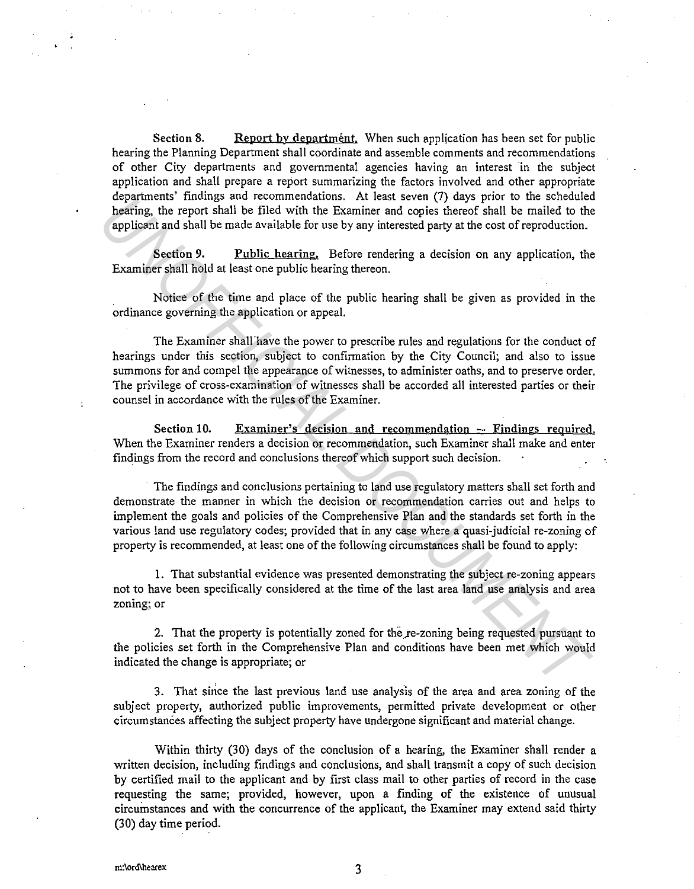Section 8. Report by department. When such application has been set for public hearing the Planning Department shall coordinate and assemble comments and recommendations of other City departments and governmental agencies having an interest in the subject application and shall prepare a report summarizing the factors involved and other appropriate departments' findings and recommendations. At least seven (7) days prior to the scheduled hearing, the report shall be filed with the Examiner and copies thereof shall be mailed to the applicant and shall be made available for use by any interested party at the cost of reproduction.

Section 9. Public hearing. Before rendering a decision on any application, the Examiner shall hold at least one public hearing thereon.

Notice of the time and place of the public hearing shall be given as provided in the ordinance governing the application or appeal.

The Examiner shall'have the power to prescribe rules and regulations for the conduct of hearings under this section, subject to confirmation by the City Council; and also to issue summons for and compel the appearance of witnesses, to administer oaths, and to preserve order. The privilege of cross-examination of witnesses shall be accorded all interested parties or their counsel in accordance with the rules of the Examiner. **Examineris Intensign same recommendation** and resources the particular the policies are the state and the control of the state of the state of the policies and shall be made available for use by any interested party at th

Section 10. Examiner's decision and recommendation -- Findings required. When the Examiner renders a decision or recommendation, such Examiner shall make and enter findings from the record and conclusions thereof which support such decision.

The findings and conclusions pertaining to land use regulatory matters shall set forth and demonstrate the manner in which the decision or recommendation carries out and helps to implement the goals and policies of the Comprehensive Plan and the standards set forth in the various land use regulatory codes; provided that in any case where a quasi-judicial re-zoning of property is recommended, at least one of the following circumstances shall be found to apply:

1. That substantial evidence was presented demonstrating the subject re-zoning appears not to have been specifically considered at the time of the last area land use analysis and area zoning; or

2. That the property is potentially zoned for the re-zoning being requested pursuant to the policies set forth in the Comprehensive Plan and conditions have been met which would indicated the change is appropriate; or

3. That since the last previous land use analysis of the area and area zoning of the subject property, authorized public improvements, permitted private development or other circumstances affecting the subject property have undergone significant and material change.

Within thirty (30) days of the conclusion of a hearing, the Examiner shall render a written decision, including findings and conclusions, and shall transmit a copy of such decision by certified mail to the applicant and by first class mail to other parties of record in the case requesting the same; provided, however, upon a finding of the existence of unusual circumstances and with the concurrence of the applicant, the Examiner may extend said thirty (30) day time period.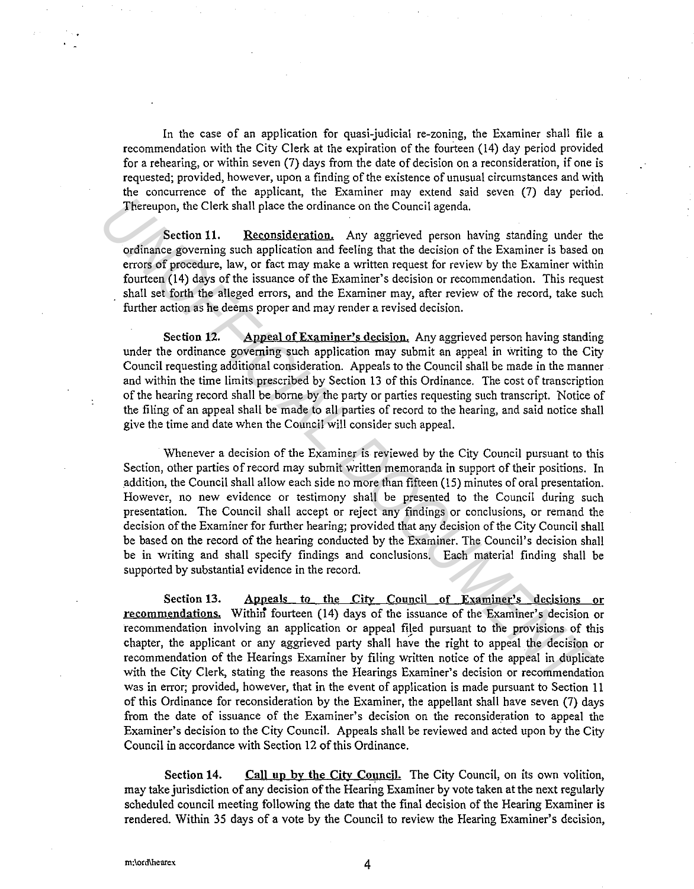In the case of an application for quasi-judicial re-zoning, the Examiner shall file a recommendation with the City Clerk at the expiration of the fourteen (14) day period provided for a rehearing, or within seven (7) days from the date of decision on a reconsideration, if one is requested; provided, however, upon a finding of the existence of unusual circumstances and with the concurrence of the applicant, the Examiner may extend said seven (7) day period. Thereupon, the Clerk shall place the ordinance on the Council agenda.

Section 11. Reconsideration. Any aggrieved person having standing under the ordinance governing such application and feeling that the decision of the Examiner is based on errors of procedure, law, or fact may make a written request for review by the Examiner within fourteen (14) days of the issuance of the Examiner's decision or recommendation. This request shall set forth the alleged errors, and the Examiner may, after review of the record, take such further action as he deems proper and may render a revised decision.

Section 12. Appeal of Examiner's decision. Any aggrieved person having standing under the ordinance governing such application may submit an appeal in writing to the City Council requesting additional consideration. Appeals to the Council shall be made in the manner and within the time limits prescribed by Section 13 of this Ordinance. The cost of transcription of the hearing record shall be borne by the party or parties requesting such transcript. Notice of the filing of an appeal shall be made to all parties of record to the hearing, and said notice shall give the time and date when the Council will consider such appeal.

Whenever a decision of the Examiner is reviewed by the City Council pursuant to this Section, other parties of record may submit written memoranda in support of their positions. In addition, the Council shall allow each side no more than fifteen (15) minutes of oral presentation. However, no new evidence or testimony shall be presented to the Council during such presentation. The Council shall accept or reject any findings or conclusions, or remand the decision of the Examiner for further hearing; provided that any decision of the City Council shall be based on the record of the hearing conducted by the Examiner. The Council's decision shall be in writing and shall specify findings and conclusions. Each material finding shall be supported by substantial evidence in the record. The<br>cropon, the Clerk shall place the ordinance on the Council agenda.<br> **Section 11. Reconsideration**. Any aggrieved person having standing under derivant is considered and fieling that the decision of the Examiner with<br>

Section 13. Appeals to the City Council of Examiner's decisions or recommendations. Within fourteen (14) days of the issuance of the Examiner's decision or recommendation involving an application or appeal filed pursuant to the provisions of this chapter, the applicant or any aggrieved party shall have the right to appeal the decision or recommendation of the Hearings Examiner by filing written notice of the appeal in duplicate with the City Clerk, stating the reasons the Hearings Examiner's decision or recommendation was in error; provided, however, that in the event of application is made pursuant to Section 11 of this Ordinance for reconsideration by the Examiner, the appellant shall have seven (7) days from the date of issuance of the Examiner's decision on the reconsideration to appeal the Examiner's decision to the City Council. Appeals shall be reviewed and acted upon by the City Council in accordance with Section 12 of this Ordinance.

Section 14. Call up by the City Council. The City Council, on its own volition, may take jurisdiction of any decision of the Hearing Examiner by vote taken at the next regularly scheduled council meeting following the date that the final decision of the Hearing Examiner is rendered. Within 35 days of a vote by the Council to review the Hearing Examiner's decision,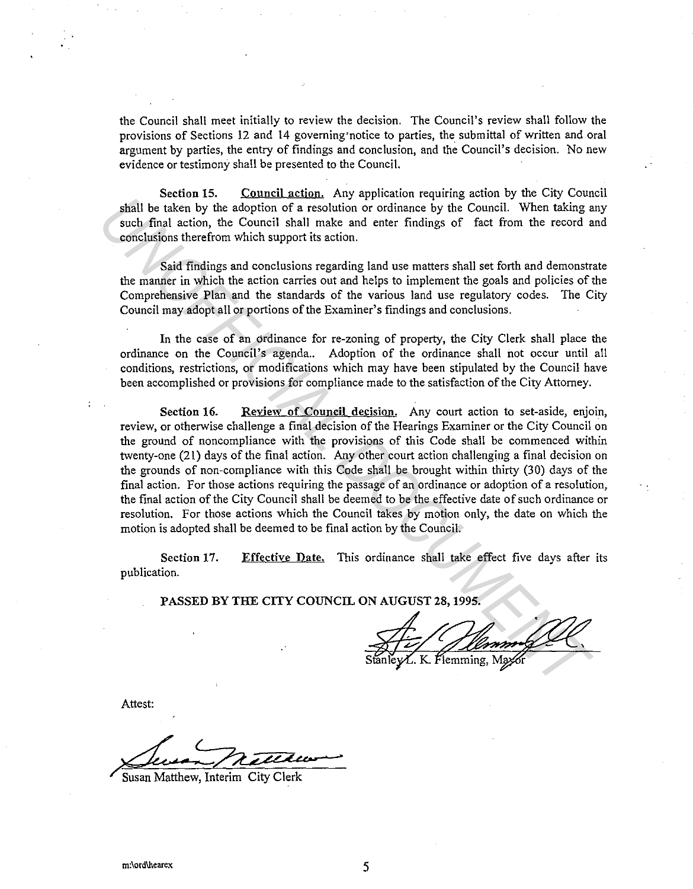the Council shall meet initially to review the decision. The Council's review shall follow the provisions of Sections 12 and 14 governing notice to parties, the submittal of written and oral argument by parties, the entry of findings and conclusion, and the Council's decision. No new evidence or testimony shall be presented to the Council.

Section 15. Council action. Any application requiring action by the City Council shall be taken by the adoption of a resolution or ordinance by the Council. When taking any such final action, the Council shall make and enter findings of fact from the record and conclusions therefrom which support its action.

Said findings and conclusions regarding land use matters shall set forth and demonstrate the manner in which the action carries out and helps to implement the goals and policies of the Comprehensive Plan and the standards of the various land use regulatory codes. The City Council may adopt all or portions of the Examiner's findings and conclusions.

In the case of an drdinance for re-zoning of property, the City Clerk shall place the ordinance on the Council's agenda.. Adoption of the ordinance shall not occur until all conditions, restrictions, or modifications which may have been stipulated by the Council have been accomplished or provisions for compliance made to the satisfaction of the City Attorney.

Section 16. Review of Council decision. Any court action to set-aside, enjoin, review, or otherwise challenge a final decision of the Hearings Examiner or the City Council on the ground of noncompliance with the provisions of this Code shall be commenced within twenty-one (21) days of the final action. Any other court action challenging a final decision on the grounds of non-compliance with this Code shall be brought within thirty (30) days of the final action. For those actions requiring the passage of an ordinance or adoption of a resolution, the final action of the City Council shall be deemed to be the effective date of such ordinance or resolution. For those actions which the Council takes by motion only, the date on which the motion is adopted shall be deemed to be final action by the Council. **UNITED SCITE THEOTEM** IN the Council shall be taken by the adoption of a resolution or ordinance by the Council. When taking a such final action, the Council shall make and enter findings of fact from the record sconcilis

Section 17. publication. Effective Date. This ordinance shall take effect five days after its

PASSED BY THE CITY COUNCIL ON AUGUST 28, 1995.

Attest:

Susan Matthew, Interim City Clerk